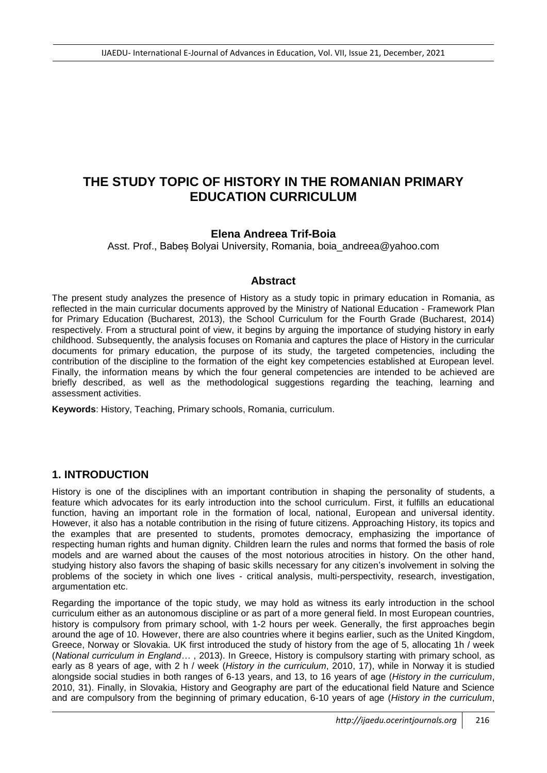# **THE STUDY TOPIC OF HISTORY IN THE ROMANIAN PRIMARY EDUCATION CURRICULUM**

### **Elena Andreea Trif-Boia**

Asst. Prof., Babes Bolyai University, Romania, boia\_andreea@yahoo.com

### **Abstract**

The present study analyzes the presence of History as a study topic in primary education in Romania, as reflected in the main curricular documents approved by the Ministry of National Education - Framework Plan for Primary Education (Bucharest, 2013), the School Curriculum for the Fourth Grade (Bucharest, 2014) respectively. From a structural point of view, it begins by arguing the importance of studying history in early childhood. Subsequently, the analysis focuses on Romania and captures the place of History in the curricular documents for primary education, the purpose of its study, the targeted competencies, including the contribution of the discipline to the formation of the eight key competencies established at European level. Finally, the information means by which the four general competencies are intended to be achieved are briefly described, as well as the methodological suggestions regarding the teaching, learning and assessment activities.

**Keywords**: History, Teaching, Primary schools, Romania, curriculum.

# **1. INTRODUCTION**

History is one of the disciplines with an important contribution in shaping the personality of students, a feature which advocates for its early introduction into the school curriculum. First, it fulfills an educational function, having an important role in the formation of local, national, European and universal identity. However, it also has a notable contribution in the rising of future citizens. Approaching History, its topics and the examples that are presented to students, promotes democracy, emphasizing the importance of respecting human rights and human dignity. Children learn the rules and norms that formed the basis of role models and are warned about the causes of the most notorious atrocities in history. On the other hand, studying history also favors the shaping of basic skills necessary for any citizen's involvement in solving the problems of the society in which one lives - critical analysis, multi-perspectivity, research, investigation, argumentation etc.

Regarding the importance of the topic study, we may hold as witness its early introduction in the school curriculum either as an autonomous discipline or as part of a more general field. In most European countries, history is compulsory from primary school, with 1-2 hours per week. Generally, the first approaches begin around the age of 10. However, there are also countries where it begins earlier, such as the United Kingdom, Greece, Norway or Slovakia. UK first introduced the study of history from the age of 5, allocating 1h / week (*National curriculum in England…* , 2013). In Greece, History is compulsory starting with primary school, as early as 8 years of age, with 2 h / week (*History in the curriculum*, 2010, 17), while in Norway it is studied alongside social studies in both ranges of 6-13 years, and 13, to 16 years of age (*History in the curriculum*, 2010, 31). Finally, in Slovakia, History and Geography are part of the educational field Nature and Science and are compulsory from the beginning of primary education, 6-10 years of age (*History in the curriculum*,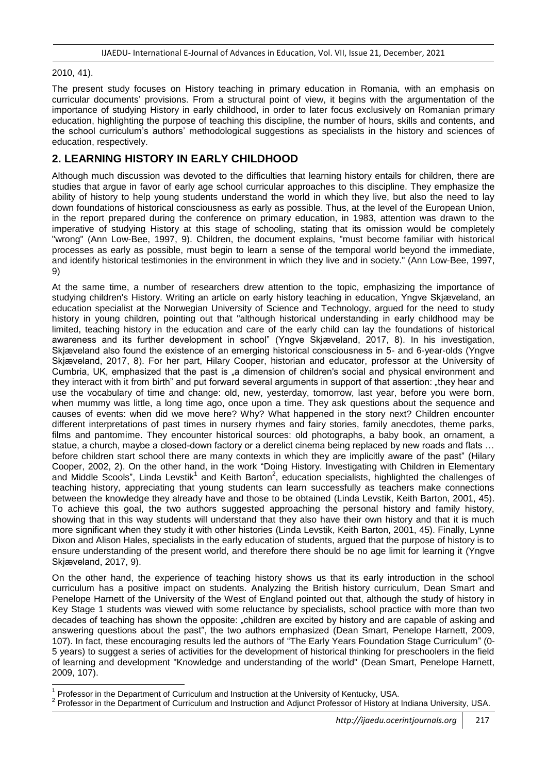#### 2010, 41).

The present study focuses on History teaching in primary education in Romania, with an emphasis on curricular documents' provisions. From a structural point of view, it begins with the argumentation of the importance of studying History in early childhood, in order to later focus exclusively on Romanian primary education, highlighting the purpose of teaching this discipline, the number of hours, skills and contents, and the school curriculum's authors' methodological suggestions as specialists in the history and sciences of education, respectively.

# **2. LEARNING HISTORY IN EARLY CHILDHOOD**

Although much discussion was devoted to the difficulties that learning history entails for children, there are studies that argue in favor of early age school curricular approaches to this discipline. They emphasize the ability of history to help young students understand the world in which they live, but also the need to lay down foundations of historical consciousness as early as possible. Thus, at the level of the European Union, in the report prepared during the conference on primary education, in 1983, attention was drawn to the imperative of studying History at this stage of schooling, stating that its omission would be completely "wrong" (Ann Low-Bee, 1997, 9). Children, the document explains, "must become familiar with historical processes as early as possible, must begin to learn a sense of the temporal world beyond the immediate, and identify historical testimonies in the environment in which they live and in society." (Ann Low-Bee, 1997, 9)

At the same time, a number of researchers drew attention to the topic, emphasizing the importance of studying children's History. Writing an article on early history teaching in education, Yngve Skjæveland, an education specialist at the Norwegian University of Science and Technology, argued for the need to study history in young children, pointing out that "although historical understanding in early childhood may be limited, teaching history in the education and care of the early child can lay the foundations of historical awareness and its further development in school" (Yngve Skjæveland, 2017, 8). In his investigation, Skjæveland also found the existence of an emerging historical consciousness in 5- and 6-year-olds (Yngve Skjæveland, 2017, 8). For her part, Hilary Cooper, historian and educator, professor at the University of Cumbria, UK, emphasized that the past is "a dimension of children's social and physical environment and they interact with it from birth" and put forward several arguments in support of that assertion: "they hear and use the vocabulary of time and change: old, new, yesterday, tomorrow, last year, before you were born, when mummy was little, a long time ago, once upon a time. They ask questions about the sequence and causes of events: when did we move here? Why? What happened in the story next? Children encounter different interpretations of past times in nursery rhymes and fairy stories, family anecdotes, theme parks, films and pantomime. They encounter historical sources: old photographs, a baby book, an ornament, a statue, a church, maybe a closed-down factory or a derelict cinema being replaced by new roads and flats ... before children start school there are many contexts in which they are implicitly aware of the past" (Hilary Cooper, 2002, 2). On the other hand, in the work "Doing History. Investigating with Children in Elementary and Middle Scools", Linda Levstik<sup>1</sup> and Keith Barton<sup>2</sup>, education specialists, highlighted the challenges of teaching history, appreciating that young students can learn successfully as teachers make connections between the knowledge they already have and those to be obtained (Linda Levstik, Keith Barton, 2001, 45). To achieve this goal, the two authors suggested approaching the personal history and family history, showing that in this way students will understand that they also have their own history and that it is much more significant when they study it with other histories (Linda Levstik, Keith Barton, 2001, 45). Finally, Lynne Dixon and Alison Hales, specialists in the early education of students, argued that the purpose of history is to ensure understanding of the present world, and therefore there should be no age limit for learning it (Yngve Skjæveland, 2017, 9).

On the other hand, the experience of teaching history shows us that its early introduction in the school curriculum has a positive impact on students. Analyzing the British history curriculum, Dean Smart and Penelope Harnett of the University of the West of England pointed out that, although the study of history in Key Stage 1 students was viewed with some reluctance by specialists, school practice with more than two decades of teaching has shown the opposite: "children are excited by history and are capable of asking and answering questions about the past", the two authors emphasized (Dean Smart, Penelope Harnett, 2009, 107). In fact, these encouraging results led the authors of "The Early Years Foundation Stage Curriculum" (0- 5 years) to suggest a series of activities for the development of historical thinking for preschoolers in the field of learning and development "Knowledge and understanding of the world" (Dean Smart, Penelope Harnett, 2009, 107).

<sup>-</sup>1 Professor in the Department of Curriculum and Instruction at the University of Kentucky, USA.

<sup>&</sup>lt;sup>2</sup> Professor in the Department of Curriculum and Instruction and Adjunct Professor of History at Indiana University, USA.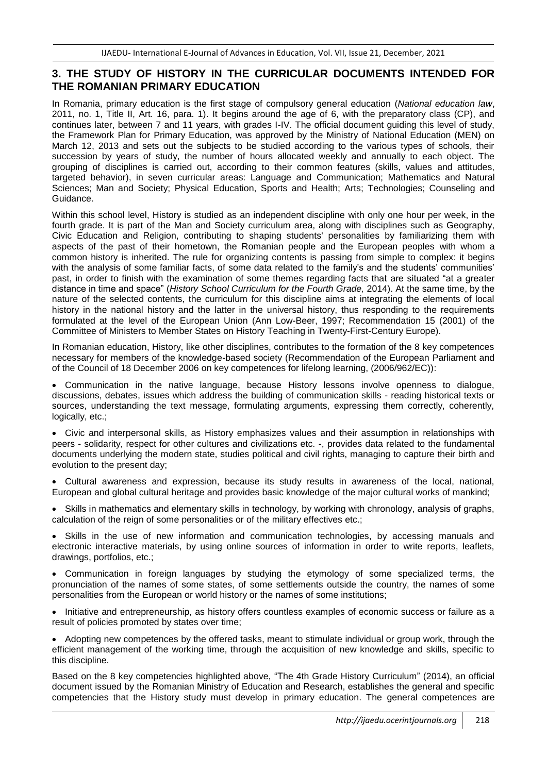# **3. THE STUDY OF HISTORY IN THE CURRICULAR DOCUMENTS INTENDED FOR THE ROMANIAN PRIMARY EDUCATION**

In Romania, primary education is the first stage of compulsory general education (*National education law*, 2011, no. 1, Title II, Art. 16, para. 1). It begins around the age of 6, with the preparatory class (CP), and continues later, between 7 and 11 years, with grades I-IV. The official document guiding this level of study, the Framework Plan for Primary Education, was approved by the Ministry of National Education (MEN) on March 12, 2013 and sets out the subjects to be studied according to the various types of schools, their succession by years of study, the number of hours allocated weekly and annually to each object. The grouping of disciplines is carried out, according to their common features (skills, values and attitudes, targeted behavior), in seven curricular areas: Language and Communication; Mathematics and Natural Sciences; Man and Society; Physical Education, Sports and Health; Arts; Technologies; Counseling and Guidance.

Within this school level, History is studied as an independent discipline with only one hour per week, in the fourth grade. It is part of the Man and Society curriculum area, along with disciplines such as Geography, Civic Education and Religion, contributing to shaping students' personalities by familiarizing them with aspects of the past of their hometown, the Romanian people and the European peoples with whom a common history is inherited. The rule for organizing contents is passing from simple to complex: it begins with the analysis of some familiar facts, of some data related to the family's and the students' communities' past, in order to finish with the examination of some themes regarding facts that are situated "at a greater distance in time and space" (*History School Curriculum for the Fourth Grade,* 2014). At the same time, by the nature of the selected contents, the curriculum for this discipline aims at integrating the elements of local history in the national history and the latter in the universal history, thus responding to the requirements formulated at the level of the European Union (Ann Low-Beer, 1997; Recommendation 15 (2001) of the Committee of Ministers to Member States on History Teaching in Twenty-First-Century Europe).

In Romanian education, History, like other disciplines, contributes to the formation of the 8 key competences necessary for members of the knowledge-based society (Recommendation of the European Parliament and of the Council of 18 December 2006 on key competences for lifelong learning, (2006/962/EC)):

 Communication in the native language, because History lessons involve openness to dialogue, discussions, debates, issues which address the building of communication skills - reading historical texts or sources, understanding the text message, formulating arguments, expressing them correctly, coherently, logically, etc.;

 Civic and interpersonal skills, as History emphasizes values and their assumption in relationships with peers - solidarity, respect for other cultures and civilizations etc. -, provides data related to the fundamental documents underlying the modern state, studies political and civil rights, managing to capture their birth and evolution to the present day;

 Cultural awareness and expression, because its study results in awareness of the local, national, European and global cultural heritage and provides basic knowledge of the major cultural works of mankind;

• Skills in mathematics and elementary skills in technology, by working with chronology, analysis of graphs, calculation of the reign of some personalities or of the military effectives etc.;

 Skills in the use of new information and communication technologies, by accessing manuals and electronic interactive materials, by using online sources of information in order to write reports, leaflets, drawings, portfolios, etc.;

 Communication in foreign languages by studying the etymology of some specialized terms, the pronunciation of the names of some states, of some settlements outside the country, the names of some personalities from the European or world history or the names of some institutions;

• Initiative and entrepreneurship, as history offers countless examples of economic success or failure as a result of policies promoted by states over time;

• Adopting new competences by the offered tasks, meant to stimulate individual or group work, through the efficient management of the working time, through the acquisition of new knowledge and skills, specific to this discipline.

Based on the 8 key competencies highlighted above, "The 4th Grade History Curriculum" (2014), an official document issued by the Romanian Ministry of Education and Research, establishes the general and specific competencies that the History study must develop in primary education. The general competences are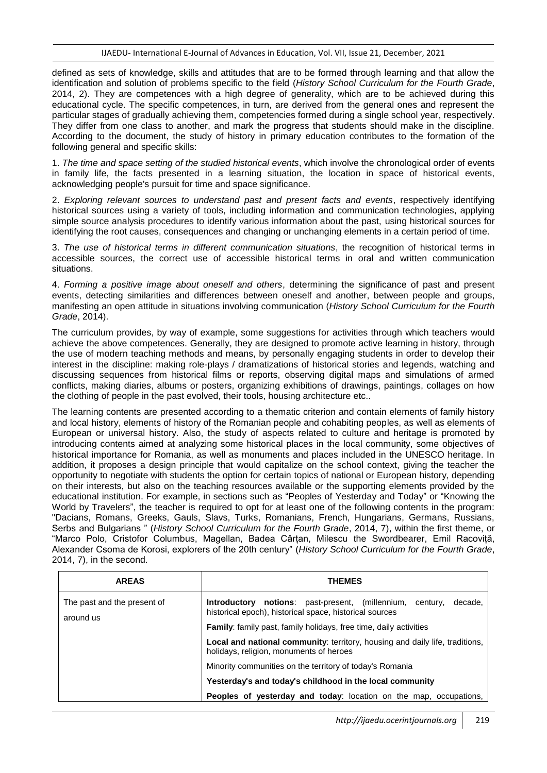defined as sets of knowledge, skills and attitudes that are to be formed through learning and that allow the identification and solution of problems specific to the field (*History School Curriculum for the Fourth Grade*, 2014, 2). They are competences with a high degree of generality, which are to be achieved during this educational cycle. The specific competences, in turn, are derived from the general ones and represent the particular stages of gradually achieving them, competencies formed during a single school year, respectively. They differ from one class to another, and mark the progress that students should make in the discipline. According to the document, the study of history in primary education contributes to the formation of the following general and specific skills:

1. *The time and space setting of the studied historical events*, which involve the chronological order of events in family life, the facts presented in a learning situation, the location in space of historical events, acknowledging people's pursuit for time and space significance.

2. *Exploring relevant sources to understand past and present facts and events*, respectively identifying historical sources using a variety of tools, including information and communication technologies, applying simple source analysis procedures to identify various information about the past, using historical sources for identifying the root causes, consequences and changing or unchanging elements in a certain period of time.

3. *The use of historical terms in different communication situations*, the recognition of historical terms in accessible sources, the correct use of accessible historical terms in oral and written communication situations.

4. *Forming a positive image about oneself and others*, determining the significance of past and present events, detecting similarities and differences between oneself and another, between people and groups, manifesting an open attitude in situations involving communication (*History School Curriculum for the Fourth Grade*, 2014).

The curriculum provides, by way of example, some suggestions for activities through which teachers would achieve the above competences. Generally, they are designed to promote active learning in history, through the use of modern teaching methods and means, by personally engaging students in order to develop their interest in the discipline: making role-plays / dramatizations of historical stories and legends, watching and discussing sequences from historical films or reports, observing digital maps and simulations of armed conflicts, making diaries, albums or posters, organizing exhibitions of drawings, paintings, collages on how the clothing of people in the past evolved, their tools, housing architecture etc..

The learning contents are presented according to a thematic criterion and contain elements of family history and local history, elements of history of the Romanian people and cohabiting peoples, as well as elements of European or universal history. Also, the study of aspects related to culture and heritage is promoted by introducing contents aimed at analyzing some historical places in the local community, some objectives of historical importance for Romania, as well as monuments and places included in the UNESCO heritage. In addition, it proposes a design principle that would capitalize on the school context, giving the teacher the opportunity to negotiate with students the option for certain topics of national or European history, depending on their interests, but also on the teaching resources available or the supporting elements provided by the educational institution. For example, in sections such as "Peoples of Yesterday and Today" or "Knowing the World by Travelers", the teacher is required to opt for at least one of the following contents in the program: "Dacians, Romans, Greeks, Gauls, Slavs, Turks, Romanians, French, Hungarians, Germans, Russians, Serbs and Bulgarians " (*History School Curriculum for the Fourth Grade*, 2014, 7), within the first theme, or "Marco Polo, Cristofor Columbus, Magellan, Badea Cârțan, Milescu the Swordbearer, Emil Racoviță, Alexander Csoma de Korosi, explorers of the 20th century" (*History School Curriculum for the Fourth Grade*, 2014, 7), in the second.

| <b>AREAS</b>                             | <b>THEMES</b>                                                                                                                                 |
|------------------------------------------|-----------------------------------------------------------------------------------------------------------------------------------------------|
| The past and the present of<br>around us | <b>notions</b> : past-present, (millennium,<br>decade.<br>Introductory<br>centurv.<br>historical epoch), historical space, historical sources |
|                                          | <b>Family:</b> family past, family holidays, free time, daily activities                                                                      |
|                                          | Local and national community: territory, housing and daily life, traditions,<br>holidays, religion, monuments of heroes                       |
|                                          | Minority communities on the territory of today's Romania                                                                                      |
|                                          | Yesterday's and today's childhood in the local community                                                                                      |
|                                          | Peoples of yesterday and today: location on the map, occupations,                                                                             |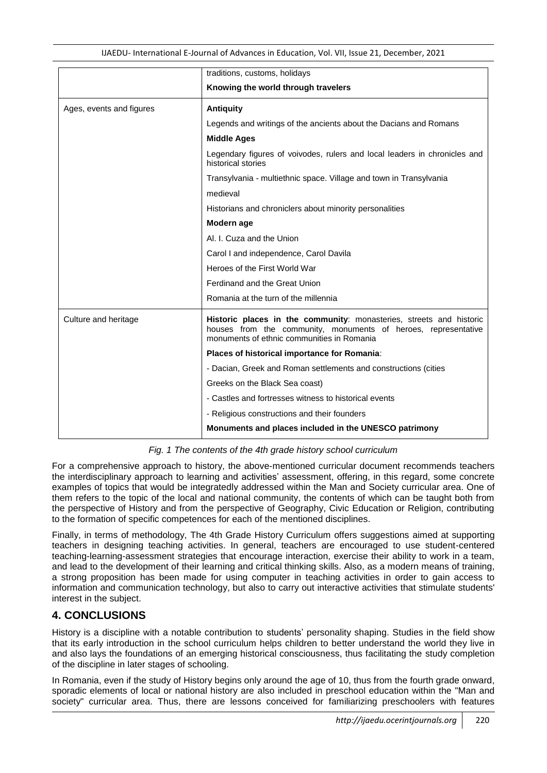IJAEDU- International E-Journal of Advances in Education, Vol. VII, Issue 21, December, 2021

|                          | traditions, customs, holidays                                                                                                                                                       |
|--------------------------|-------------------------------------------------------------------------------------------------------------------------------------------------------------------------------------|
|                          | Knowing the world through travelers                                                                                                                                                 |
| Ages, events and figures | <b>Antiquity</b>                                                                                                                                                                    |
|                          | Legends and writings of the ancients about the Dacians and Romans                                                                                                                   |
|                          | <b>Middle Ages</b>                                                                                                                                                                  |
|                          | Legendary figures of voivodes, rulers and local leaders in chronicles and<br>historical stories                                                                                     |
|                          | Transylvania - multiethnic space. Village and town in Transylvania                                                                                                                  |
|                          | medieval                                                                                                                                                                            |
|                          | Historians and chroniclers about minority personalities                                                                                                                             |
|                          | Modern age                                                                                                                                                                          |
|                          | Al. I. Cuza and the Union                                                                                                                                                           |
|                          | Carol I and independence, Carol Davila                                                                                                                                              |
|                          | Heroes of the First World War                                                                                                                                                       |
|                          | Ferdinand and the Great Union                                                                                                                                                       |
|                          | Romania at the turn of the millennia                                                                                                                                                |
| Culture and heritage     | Historic places in the community: monasteries, streets and historic<br>houses from the community, monuments of heroes, representative<br>monuments of ethnic communities in Romania |
|                          | Places of historical importance for Romania:                                                                                                                                        |
|                          | - Dacian, Greek and Roman settlements and constructions (cities                                                                                                                     |
|                          | Greeks on the Black Sea coast)                                                                                                                                                      |
|                          | - Castles and fortresses witness to historical events                                                                                                                               |
|                          | - Religious constructions and their founders                                                                                                                                        |
|                          | Monuments and places included in the UNESCO patrimony                                                                                                                               |

*Fig. 1 The contents of the 4th grade history school curriculum*

For a comprehensive approach to history, the above-mentioned curricular document recommends teachers the interdisciplinary approach to learning and activities' assessment, offering, in this regard, some concrete examples of topics that would be integratedly addressed within the Man and Society curricular area. One of them refers to the topic of the local and national community, the contents of which can be taught both from the perspective of History and from the perspective of Geography, Civic Education or Religion, contributing to the formation of specific competences for each of the mentioned disciplines.

Finally, in terms of methodology, The 4th Grade History Curriculum offers suggestions aimed at supporting teachers in designing teaching activities. In general, teachers are encouraged to use student-centered teaching-learning-assessment strategies that encourage interaction, exercise their ability to work in a team, and lead to the development of their learning and critical thinking skills. Also, as a modern means of training, a strong proposition has been made for using computer in teaching activities in order to gain access to information and communication technology, but also to carry out interactive activities that stimulate students' interest in the subject.

# **4. CONCLUSIONS**

History is a discipline with a notable contribution to students' personality shaping. Studies in the field show that its early introduction in the school curriculum helps children to better understand the world they live in and also lays the foundations of an emerging historical consciousness, thus facilitating the study completion of the discipline in later stages of schooling.

In Romania, even if the study of History begins only around the age of 10, thus from the fourth grade onward, sporadic elements of local or national history are also included in preschool education within the "Man and society" curricular area. Thus, there are lessons conceived for familiarizing preschoolers with features